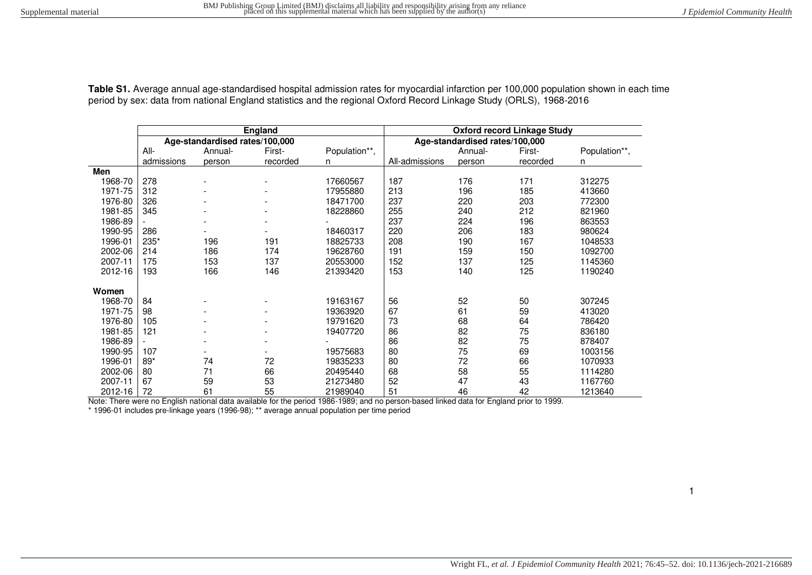| Table S1. Average annual age-standardised hospital admission rates for myocardial infarction per 100,000 population shown in each time |  |
|----------------------------------------------------------------------------------------------------------------------------------------|--|
| period by sex: data from national England statistics and the regional Oxford Record Linkage Study (ORLS), 1968-2016                    |  |

|         |            |                                | England  |               | <b>Oxford record Linkage Study</b> |            |          |               |  |  |  |
|---------|------------|--------------------------------|----------|---------------|------------------------------------|------------|----------|---------------|--|--|--|
|         |            | Age-standardised rates/100,000 |          |               | Age-standardised rates/100,000     |            |          |               |  |  |  |
|         | All-       | Annual-                        | First-   | Population**, |                                    | Annual-    | First-   | Population**, |  |  |  |
|         | admissions | person                         | recorded | n             | All-admissions                     | person     | recorded | n             |  |  |  |
| Men     |            |                                |          |               |                                    |            |          |               |  |  |  |
| 1968-70 | 278        |                                |          | 17660567      | 187                                | 176<br>171 |          | 312275        |  |  |  |
| 1971-75 | 312        |                                |          | 17955880      | 213                                | 196        | 185      | 413660        |  |  |  |
| 1976-80 | 326        |                                |          | 18471700      | 237                                | 220        | 203      | 772300        |  |  |  |
| 1981-85 | 345        |                                |          | 18228860      | 255                                | 240        | 212      | 821960        |  |  |  |
| 1986-89 |            |                                |          |               | 237                                | 224        | 196      | 863553        |  |  |  |
| 1990-95 | 286        |                                |          | 18460317      | 220                                | 206        | 183      | 980624        |  |  |  |
| 1996-01 | 235*       | 196                            | 191      | 18825733      | 208                                | 190        | 167      | 1048533       |  |  |  |
| 2002-06 | 214        | 186                            | 174      | 19628760      | 191                                | 159        | 150      | 1092700       |  |  |  |
| 2007-11 | 175        | 153                            | 137      | 20553000      | 152                                | 137        | 125      | 1145360       |  |  |  |
| 2012-16 | 193        | 166                            | 146      | 21393420      | 153                                | 140        | 125      | 1190240       |  |  |  |
| Women   |            |                                |          |               |                                    |            |          |               |  |  |  |
| 1968-70 | 84         |                                |          | 19163167      | 56                                 | 52         | 50       | 307245        |  |  |  |
| 1971-75 | 98         |                                |          | 19363920      | 67                                 | 61         | 59       | 413020        |  |  |  |
| 1976-80 | 105        |                                |          | 19791620      | 73                                 | 68         | 64       | 786420        |  |  |  |
| 1981-85 | 121        |                                |          | 19407720      | 86                                 | 82         | 75       | 836180        |  |  |  |
| 1986-89 |            |                                |          |               | 86                                 | 82         | 75       | 878407        |  |  |  |
| 1990-95 | 107        |                                |          | 19575683      | 80                                 | 75         | 69       | 1003156       |  |  |  |
| 1996-01 | $89*$      | 74                             | 72       | 19835233      | 80                                 | 72         | 66       | 1070933       |  |  |  |
| 2002-06 | 80         | 71                             | 66       | 20495440      | 68                                 | 58         | 55       | 1114280       |  |  |  |
| 2007-11 | 67         | 59                             | 53       | 21273480      | 52                                 | 47         | 43       | 1167760       |  |  |  |
| 2012-16 | 72         | 61                             | 55       | 21989040      | 51                                 | 46         | 42       | 1213640       |  |  |  |

Note: There were no English national data available for the period 1986-1989; and no person-based linked data for England prior to 1999.

\* 1996-01 includes pre-linkage years (1996-98); \*\* average annual population per time period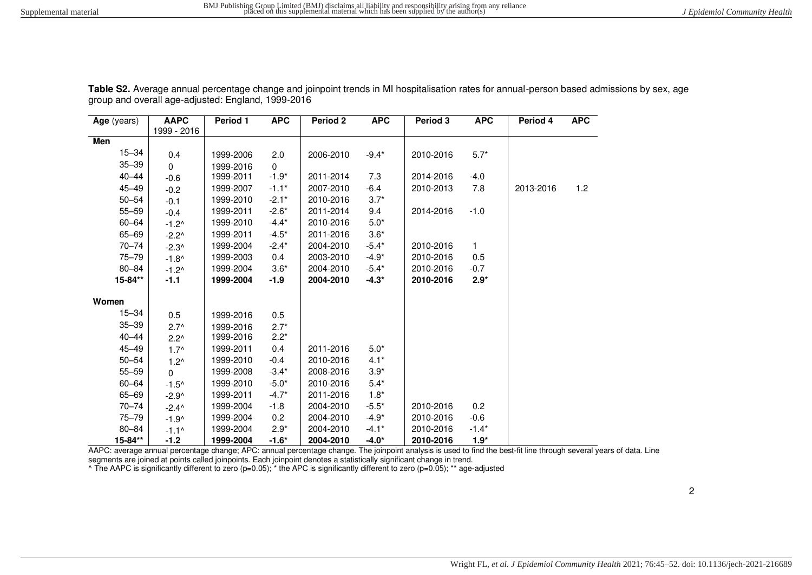| Age (years) | <b>AAPC</b>     | <b>Period 1</b> | <b>APC</b> | <b>Period 2</b> | <b>APC</b> | Period 3  | <b>APC</b> | Period 4  | APC. |
|-------------|-----------------|-----------------|------------|-----------------|------------|-----------|------------|-----------|------|
|             | 1999 - 2016     |                 |            |                 |            |           |            |           |      |
| Men         |                 |                 |            |                 |            |           |            |           |      |
| $15 - 34$   | 0.4             | 1999-2006       | 2.0        | 2006-2010       | $-9.4*$    | 2010-2016 | $5.7*$     |           |      |
| $35 - 39$   | $\Omega$        | 1999-2016       | $\Omega$   |                 |            |           |            |           |      |
| $40 - 44$   | $-0.6$          | 1999-2011       | $-1.9*$    | 2011-2014       | 7.3        | 2014-2016 | $-4.0$     |           |      |
| $45 - 49$   | $-0.2$          | 1999-2007       | $-1.1*$    | 2007-2010       | $-6.4$     | 2010-2013 | 7.8        | 2013-2016 | 1.2  |
| $50 - 54$   | $-0.1$          | 1999-2010       | $-2.1*$    | 2010-2016       | $3.7*$     |           |            |           |      |
| $55 - 59$   | $-0.4$          | 1999-2011       | $-2.6*$    | 2011-2014       | 9.4        | 2014-2016 | $-1.0$     |           |      |
| $60 - 64$   | $-1.2^$         | 1999-2010       | $-4.4*$    | 2010-2016       | $5.0*$     |           |            |           |      |
| 65-69       | $-2.2^{\wedge}$ | 1999-2011       | $-4.5*$    | 2011-2016       | $3.6*$     |           |            |           |      |
| $70 - 74$   | $-2.3^{\circ}$  | 1999-2004       | $-2.4*$    | 2004-2010       | $-5.4*$    | 2010-2016 | 1          |           |      |
| $75 - 79$   | $-1.8^$         | 1999-2003       | 0.4        | 2003-2010       | $-4.9*$    | 2010-2016 | 0.5        |           |      |
| $80 - 84$   | $-1.2^$         | 1999-2004       | $3.6*$     | 2004-2010       | $-5.4*$    | 2010-2016 | $-0.7$     |           |      |
| 15-84**     | $-1.1$          | 1999-2004       | $-1.9$     | 2004-2010       | $-4.3*$    | 2010-2016 | $2.9*$     |           |      |
|             |                 |                 |            |                 |            |           |            |           |      |
| Women       |                 |                 |            |                 |            |           |            |           |      |
| $15 - 34$   | 0.5             | 1999-2016       | 0.5        |                 |            |           |            |           |      |
| $35 - 39$   | $2.7^{\circ}$   | 1999-2016       | $2.7*$     |                 |            |           |            |           |      |
| $40 - 44$   | $2.2^{\wedge}$  | 1999-2016       | $2.2*$     |                 |            |           |            |           |      |
| 45-49       | $1.7^{\circ}$   | 1999-2011       | 0.4        | 2011-2016       | $5.0*$     |           |            |           |      |
| $50 - 54$   | $1.2^{\wedge}$  | 1999-2010       | $-0.4$     | 2010-2016       | $4.1*$     |           |            |           |      |
| $55 - 59$   | $\Omega$        | 1999-2008       | $-3.4*$    | 2008-2016       | $3.9*$     |           |            |           |      |
| $60 - 64$   | $-1.5^$         | 1999-2010       | $-5.0*$    | 2010-2016       | $5.4*$     |           |            |           |      |
| 65-69       | $-2.9^$         | 1999-2011       | $-4.7*$    | 2011-2016       | $1.8*$     |           |            |           |      |
| $70 - 74$   | $-2.4^{\circ}$  | 1999-2004       | $-1.8$     | 2004-2010       | $-5.5*$    | 2010-2016 | 0.2        |           |      |
| $75 - 79$   | $-1.9^$         | 1999-2004       | 0.2        | 2004-2010       | $-4.9*$    | 2010-2016 | $-0.6$     |           |      |
| $80 - 84$   | $-1.1^{\circ}$  | 1999-2004       | $2.9*$     | 2004-2010       | $-4.1*$    | 2010-2016 | $-1.4*$    |           |      |
| 15-84**     | $-1.2$          | 1999-2004       | $-1.6*$    | 2004-2010       | $-4.0*$    | 2010-2016 | $1.9*$     |           |      |

Table S2. Average annual percentage change and joinpoint trends in MI hospitalisation rates for annual-person based admissions by sex, age group and overall age-adjusted: England, 1999-2016

AAPC: average annual percentage change; APC: annual percentage change. The joinpoint analysis is used to find the best-fit line through several years of data. Line

segments are joined at points called joinpoints. Each joinpoint denotes a statistically significant change in trend.<br>^ The AAPC is significantly different to zero (p=0.05); \* the APC is significantly different to zero (p=0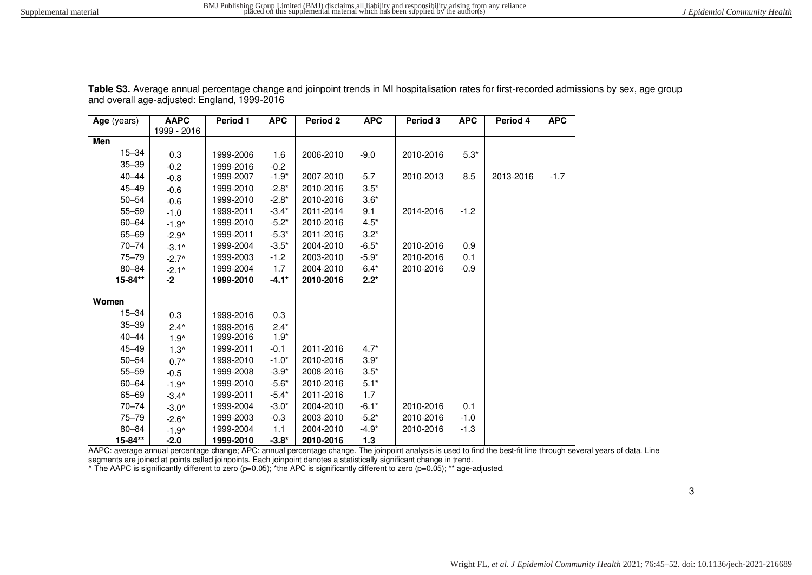| Age (years) | <b>AAPC</b><br>1999 - 2016 | Period 1  | <b>APC</b> | Period 2  | <b>APC</b> | Period 3  | <b>APC</b> | Period 4  | <b>APC</b> |
|-------------|----------------------------|-----------|------------|-----------|------------|-----------|------------|-----------|------------|
| Men         |                            |           |            |           |            |           |            |           |            |
| $15 - 34$   | 0.3                        | 1999-2006 | 1.6        | 2006-2010 | $-9.0$     | 2010-2016 | $5.3*$     |           |            |
| $35 - 39$   | $-0.2$                     | 1999-2016 | $-0.2$     |           |            |           |            |           |            |
| $40 - 44$   | $-0.8$                     | 1999-2007 | $-1.9*$    | 2007-2010 | $-5.7$     | 2010-2013 | 8.5        | 2013-2016 | $-1.7$     |
| $45 - 49$   | $-0.6$                     | 1999-2010 | $-2.8*$    | 2010-2016 | $3.5*$     |           |            |           |            |
| $50 - 54$   | $-0.6$                     | 1999-2010 | $-2.8*$    | 2010-2016 | $3.6*$     |           |            |           |            |
| $55 - 59$   | $-1.0$                     | 1999-2011 | $-3.4*$    | 2011-2014 | 9.1        | 2014-2016 | $-1.2$     |           |            |
| 60-64       | $-1.9^$                    | 1999-2010 | $-5.2*$    | 2010-2016 | $4.5*$     |           |            |           |            |
| 65-69       | $-2.9^$                    | 1999-2011 | $-5.3*$    | 2011-2016 | $3.2*$     |           |            |           |            |
| $70 - 74$   | $-3.1^{\circ}$             | 1999-2004 | $-3.5*$    | 2004-2010 | $-6.5*$    | 2010-2016 | 0.9        |           |            |
| $75 - 79$   | $-2.7^$                    | 1999-2003 | $-1.2$     | 2003-2010 | $-5.9*$    | 2010-2016 | 0.1        |           |            |
| 80-84       | $-2.1^{\circ}$             | 1999-2004 | 1.7        | 2004-2010 | $-6.4*$    | 2010-2016 | $-0.9$     |           |            |
| 15-84**     | -2                         | 1999-2010 | $-4.1*$    | 2010-2016 | $2.2*$     |           |            |           |            |
| Women       |                            |           |            |           |            |           |            |           |            |
| $15 - 34$   | 0.3                        | 1999-2016 | 0.3        |           |            |           |            |           |            |
| $35 - 39$   | $2.4^{\wedge}$             | 1999-2016 | $2.4*$     |           |            |           |            |           |            |
| $40 - 44$   | $1.9^$                     | 1999-2016 | $1.9*$     |           |            |           |            |           |            |
| $45 - 49$   | $1.3^$                     | 1999-2011 | $-0.1$     | 2011-2016 | $4.7*$     |           |            |           |            |
| $50 - 54$   | $0.7^{\wedge}$             | 1999-2010 | $-1.0*$    | 2010-2016 | $3.9*$     |           |            |           |            |
| $55 - 59$   | $-0.5$                     | 1999-2008 | $-3.9*$    | 2008-2016 | $3.5*$     |           |            |           |            |
| 60-64       | $-1.9^$                    | 1999-2010 | $-5.6*$    | 2010-2016 | $5.1*$     |           |            |           |            |
| 65-69       | $-3.4^$                    | 1999-2011 | $-5.4*$    | 2011-2016 | 1.7        |           |            |           |            |
| $70 - 74$   | $-3.0^$                    | 1999-2004 | $-3.0*$    | 2004-2010 | $-6.1*$    | 2010-2016 | 0.1        |           |            |
| $75 - 79$   | $-2.6^$                    | 1999-2003 | $-0.3$     | 2003-2010 | $-5.2*$    | 2010-2016 | $-1.0$     |           |            |
| $80 - 84$   | $-1.9^$                    | 1999-2004 | 1.1        | 2004-2010 | $-4.9*$    | 2010-2016 | $-1.3$     |           |            |
| 15-84**     | $-2.0$                     | 1999-2010 | $-3.8*$    | 2010-2016 | 1.3        |           |            |           |            |

**Table S3.** Average annual percentage change and joinpoint trends in MI hospitalisation rates for first-recorded admissions by sex, age group and overall age-adjusted: England, 1999-2016

AAPC: average annual percentage change; APC: annual percentage change. The joinpoint analysis is used to find the best-fit line through several years of data. Line

segments are joined at points called joinpoints. Each joinpoint denotes a statistically significant change in trend.<br>^ The AAPC is significantly different to zero (p=0.05); \*the APC is significantly different to zero (p=0.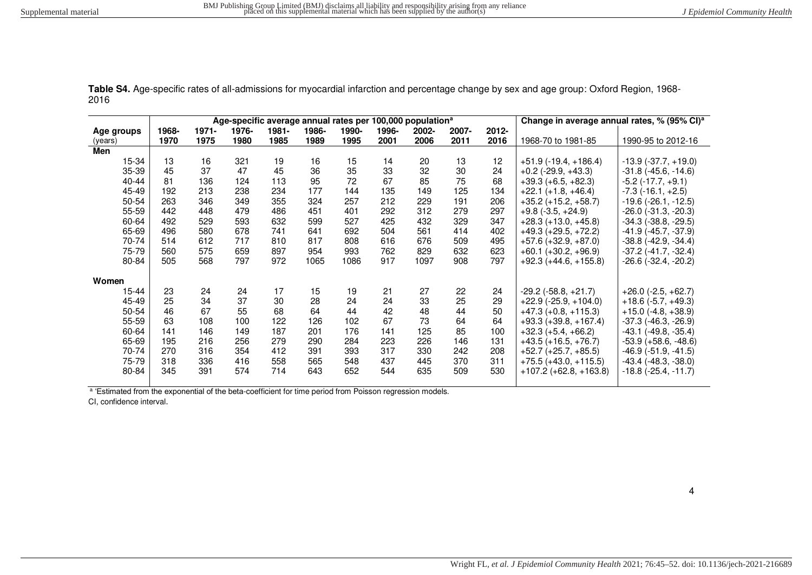**Table S4.** Age-specific rates of all-admissions for myocardial infarction and percentage change by sex and age group: Oxford Region, 1968- 2016

|            | Age-specific average annual rates per 100,000 population <sup>a</sup> |          |       |          |       |       |       |       |       | Change in average annual rates, % (95% CI) <sup>a</sup> |                            |                               |
|------------|-----------------------------------------------------------------------|----------|-------|----------|-------|-------|-------|-------|-------|---------------------------------------------------------|----------------------------|-------------------------------|
| Age groups | 1968-                                                                 | $1971 -$ | 1976- | $1981 -$ | 1986- | 1990- | 1996- | 2002- | 2007- | 2012-                                                   |                            |                               |
| (years)    | 1970                                                                  | 1975     | 1980  | 1985     | 1989  | 1995  | 2001  | 2006  | 2011  | 2016                                                    | 1968-70 to 1981-85         | 1990-95 to 2012-16            |
| Men        |                                                                       |          |       |          |       |       |       |       |       |                                                         |                            |                               |
| 15-34      | 13                                                                    | 16       | 321   | 19       | 16    | 15    | 14    | 20    | 13    | 12                                                      | $+51.9$ (-19.4, +186.4)    | $-13.9$ $(-37.7, +19.0)$      |
| 35-39      | 45                                                                    | 37       | 47    | 45       | 36    | 35    | 33    | 32    | 30    | 24                                                      | $+0.2$ (-29.9, +43.3)      | $-31.8$ ( $-45.6$ , $-14.6$ ) |
| 40-44      | 81                                                                    | 136      | 124   | 113      | 95    | 72    | 67    | 85    | 75    | 68                                                      | $+39.3 (+6.5, +82.3)$      | $-5.2$ ( $-17.7, +9.1$ )      |
| 45-49      | 192                                                                   | 213      | 238   | 234      | 177   | 144   | 135   | 149   | 125   | 134                                                     | $+22.1 (+1.8, +46.4)$      | $-7.3$ ( $-16.1, +2.5$ )      |
| 50-54      | 263                                                                   | 346      | 349   | 355      | 324   | 257   | 212   | 229   | 191   | 206                                                     | $+35.2 (+15.2, +58.7)$     | $-19.6$ ( $-26.1, -12.5$ )    |
| 55-59      | 442                                                                   | 448      | 479   | 486      | 451   | 401   | 292   | 312   | 279   | 297                                                     | $+9.8$ ( $-3.5, +24.9$ )   | $-26.0$ ( $-31.3$ , $-20.3$ ) |
| 60-64      | 492                                                                   | 529      | 593   | 632      | 599   | 527   | 425   | 432   | 329   | 347                                                     | $+28.3 (+13.0, +45.8)$     | $-34.3$ ( $-38.8$ , $-29.5$ ) |
| 65-69      | 496                                                                   | 580      | 678   | 741      | 641   | 692   | 504   | 561   | 414   | 402                                                     | $+49.3 (+29.5, +72.2)$     | $-41.9$ ( $-45.7, -37.9$ )    |
| 70-74      | 514                                                                   | 612      | 717   | 810      | 817   | 808   | 616   | 676   | 509   | 495                                                     | $+57.6 (+32.9, +87.0)$     | $-38.8$ ( $-42.9$ , $-34.4$ ) |
| 75-79      | 560                                                                   | 575      | 659   | 897      | 954   | 993   | 762   | 829   | 632   | 623                                                     | $+60.1 (+30.2, +96.9)$     | $-37.2$ ( $-41.7, -32.4$ )    |
| 80-84      | 505                                                                   | 568      | 797   | 972      | 1065  | 1086  | 917   | 1097  | 908   | 797                                                     | $+92.3 (+44.6, +155.8)$    | $-26.6$ ( $-32.4$ , $-20.2$ ) |
| Women      |                                                                       |          |       |          |       |       |       |       |       |                                                         |                            |                               |
| 15-44      | 23                                                                    | 24       | 24    | 17       | 15    | 19    | 21    | 27    | 22    | 24                                                      | $-29.2$ ( $-58.8, +21.7$ ) | $+26.0$ (-2.5, +62.7)         |
| 45-49      | 25                                                                    | 34       | 37    | 30       | 28    | 24    | 24    | 33    | 25    | 29                                                      | $+22.9$ (-25.9, +104.0)    | $+18.6$ (-5.7, +49.3)         |
| 50-54      | 46                                                                    | 67       | 55    | 68       | 64    | 44    | 42    | 48    | 44    | 50                                                      | $+47.3 (+0.8, +115.3)$     | $+15.0$ (-4.8, +38.9)         |
| 55-59      | 63                                                                    | 108      | 100   | 122      | 126   | 102   | 67    | 73    | 64    | 64                                                      | $+93.3 (+39.8, +167.4)$    | $-37.3$ ( $-46.3$ , $-26.9$ ) |
| 60-64      | 141                                                                   | 146      | 149   | 187      | 201   | 176   | 141   | 125   | 85    | 100                                                     | $+32.3 (+5.4, +66.2)$      | $-43.1$ ( $-49.8$ , $-35.4$ ) |
| 65-69      | 195                                                                   | 216      | 256   | 279      | 290   | 284   | 223   | 226   | 146   | 131                                                     | $+43.5 (+16.5, +76.7)$     | $-53.9 (+58.6, -48.6)$        |
| 70-74      | 270                                                                   | 316      | 354   | 412      | 391   | 393   | 317   | 330   | 242   | 208                                                     | $+52.7 (+25.7, +85.5)$     | $-46.9$ ( $-51.9$ , $-41.5$ ) |
| 75-79      | 318                                                                   | 336      | 416   | 558      | 565   | 548   | 437   | 445   | 370   | 311                                                     | $+75.5 (+43.0, +115.5)$    | $-43.4$ ( $-48.3$ , $-38.0$ ) |
| 80-84      | 345                                                                   | 391      | 574   | 714      | 643   | 652   | 544   | 635   | 509   | 530                                                     | $+107.2 (+62.8, +163.8)$   | $-18.8$ ( $-25.4$ , $-11.7$ ) |

a 'Estimated from the exponential of the beta-coefficient for time period from Poisson regression models.

CI, confidence interval.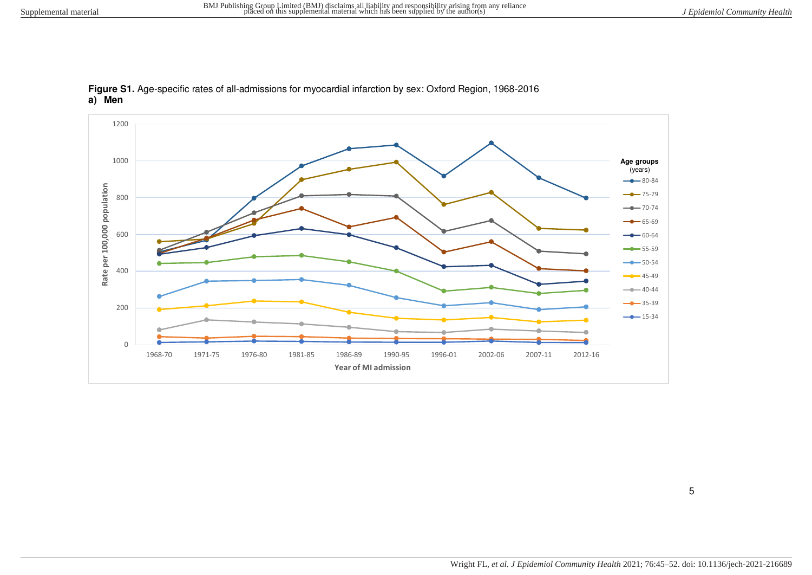

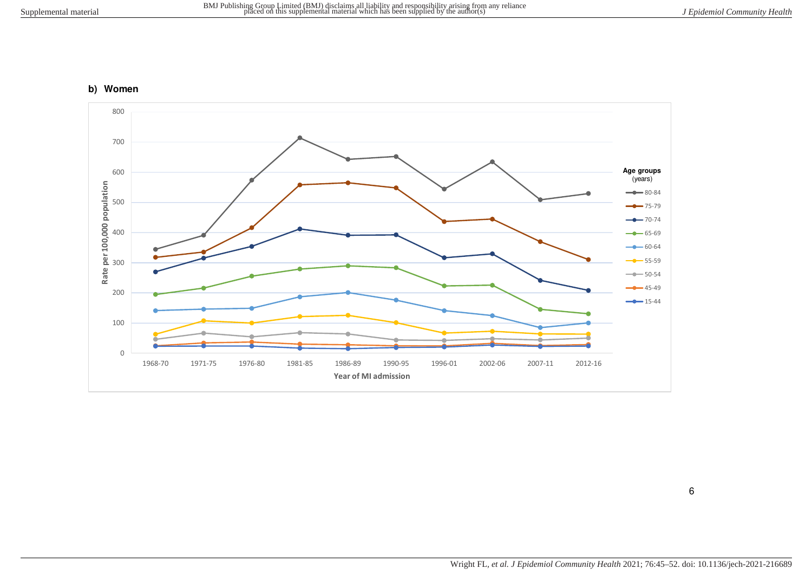## **b) Women**